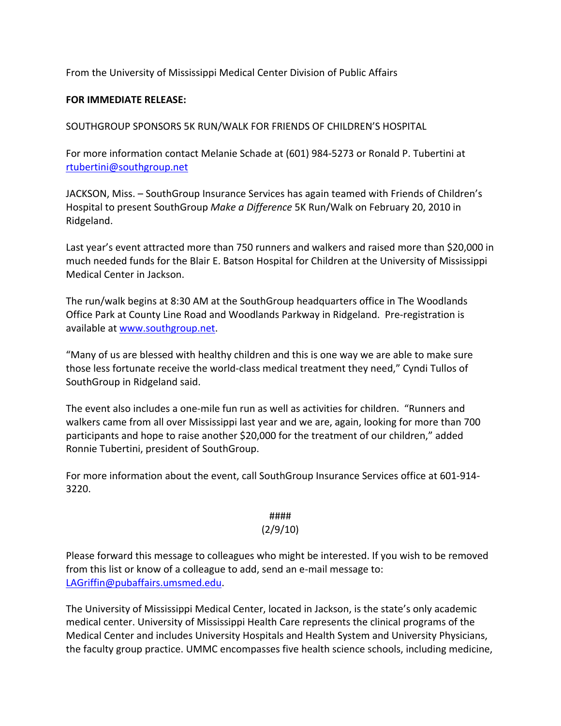From the University of Mississippi Medical Center Division of Public Affairs

## **FOR IMMEDIATE RELEASE:**

SOUTHGROUP SPONSORS 5K RUN/WALK FOR FRIENDS OF CHILDREN'S HOSPITAL

For more information contact Melanie Schade at (601) 984‐5273 or Ronald P. Tubertini at rtubertini@southgroup.net

JACKSON, Miss. – SouthGroup Insurance Services has again teamed with Friends of Children's Hospital to present SouthGroup *Make a Difference* 5K Run/Walk on February 20, 2010 in Ridgeland.

Last year's event attracted more than 750 runners and walkers and raised more than \$20,000 in much needed funds for the Blair E. Batson Hospital for Children at the University of Mississippi Medical Center in Jackson.

The run/walk begins at 8:30 AM at the SouthGroup headquarters office in The Woodlands Office Park at County Line Road and Woodlands Parkway in Ridgeland. Pre‐registration is available at www.southgroup.net.

"Many of us are blessed with healthy children and this is one way we are able to make sure those less fortunate receive the world‐class medical treatment they need," Cyndi Tullos of SouthGroup in Ridgeland said.

The event also includes a one‐mile fun run as well as activities for children. "Runners and walkers came from all over Mississippi last year and we are, again, looking for more than 700 participants and hope to raise another \$20,000 for the treatment of our children," added Ronnie Tubertini, president of SouthGroup.

For more information about the event, call SouthGroup Insurance Services office at 601‐914‐ 3220.

## ####

## (2/9/10)

Please forward this message to colleagues who might be interested. If you wish to be removed from this list or know of a colleague to add, send an e‐mail message to: LAGriffin@pubaffairs.umsmed.edu.

The University of Mississippi Medical Center, located in Jackson, is the state's only academic medical center. University of Mississippi Health Care represents the clinical programs of the Medical Center and includes University Hospitals and Health System and University Physicians, the faculty group practice. UMMC encompasses five health science schools, including medicine,